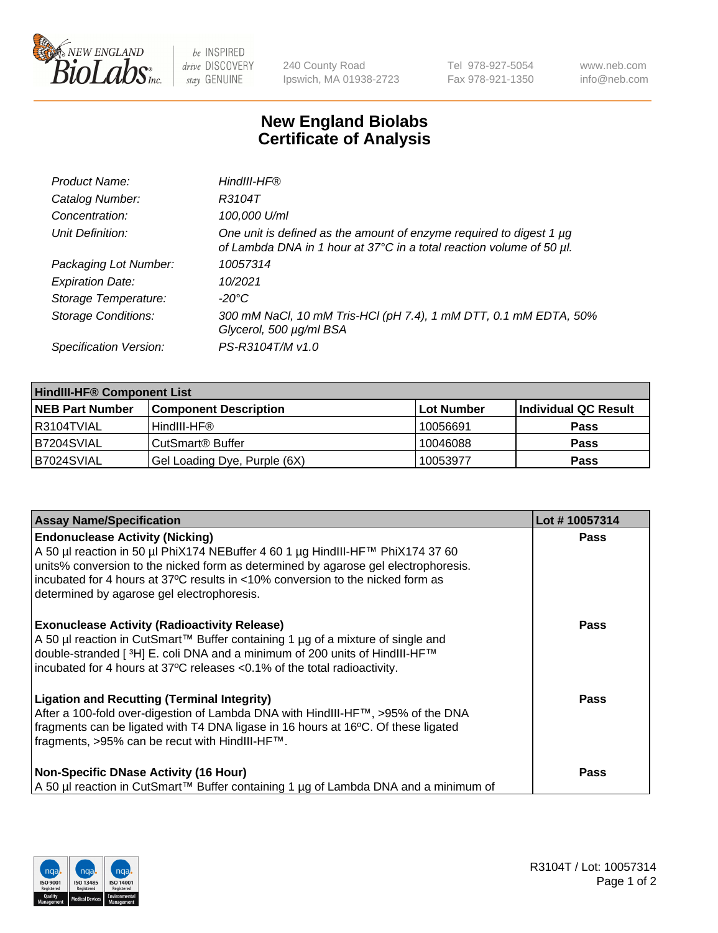

 $be$  INSPIRED drive DISCOVERY stay GENUINE

240 County Road Ipswich, MA 01938-2723 Tel 978-927-5054 Fax 978-921-1350 www.neb.com info@neb.com

## **New England Biolabs Certificate of Analysis**

| Product Name:              | HindIII-HF®                                                                                                                                 |
|----------------------------|---------------------------------------------------------------------------------------------------------------------------------------------|
| Catalog Number:            | R3104T                                                                                                                                      |
| Concentration:             | 100,000 U/ml                                                                                                                                |
| Unit Definition:           | One unit is defined as the amount of enzyme required to digest 1 µg<br>of Lambda DNA in 1 hour at 37°C in a total reaction volume of 50 µl. |
| Packaging Lot Number:      | 10057314                                                                                                                                    |
| <b>Expiration Date:</b>    | 10/2021                                                                                                                                     |
| Storage Temperature:       | $-20^{\circ}$ C                                                                                                                             |
| <b>Storage Conditions:</b> | 300 mM NaCl, 10 mM Tris-HCl (pH 7.4), 1 mM DTT, 0.1 mM EDTA, 50%<br>Glycerol, 500 µg/ml BSA                                                 |
| Specification Version:     | PS-R3104T/M v1.0                                                                                                                            |

| <b>HindIII-HF® Component List</b> |                              |            |                      |  |  |
|-----------------------------------|------------------------------|------------|----------------------|--|--|
| <b>NEB Part Number</b>            | <b>Component Description</b> | Lot Number | Individual QC Result |  |  |
| I R3104TVIAL                      | HindIII-HF®                  | 10056691   | <b>Pass</b>          |  |  |
| <b>B7204SVIAL</b>                 | CutSmart <sup>®</sup> Buffer | 10046088   | <b>Pass</b>          |  |  |
| B7024SVIAL                        | Gel Loading Dye, Purple (6X) | 10053977   | <b>Pass</b>          |  |  |

| <b>Assay Name/Specification</b>                                                                                                                                                                                                                                                                                                                | Lot #10057314 |
|------------------------------------------------------------------------------------------------------------------------------------------------------------------------------------------------------------------------------------------------------------------------------------------------------------------------------------------------|---------------|
| <b>Endonuclease Activity (Nicking)</b><br>A 50 µl reaction in 50 µl PhiX174 NEBuffer 4 60 1 µg HindIII-HF™ PhiX174 37 60<br>units% conversion to the nicked form as determined by agarose gel electrophoresis.<br>incubated for 4 hours at 37°C results in <10% conversion to the nicked form as<br>determined by agarose gel electrophoresis. | <b>Pass</b>   |
| <b>Exonuclease Activity (Radioactivity Release)</b><br>A 50 µl reaction in CutSmart™ Buffer containing 1 µg of a mixture of single and<br>double-stranded [ <sup>3</sup> H] E. coli DNA and a minimum of 200 units of HindIII-HF <sup>™</sup><br>incubated for 4 hours at 37°C releases <0.1% of the total radioactivity.                      | Pass          |
| <b>Ligation and Recutting (Terminal Integrity)</b><br>After a 100-fold over-digestion of Lambda DNA with HindIII-HF™, >95% of the DNA<br>fragments can be ligated with T4 DNA ligase in 16 hours at 16°C. Of these ligated<br>fragments, >95% can be recut with HindIII-HF™.                                                                   | <b>Pass</b>   |
| <b>Non-Specific DNase Activity (16 Hour)</b><br>  A 50 µl reaction in CutSmart™ Buffer containing 1 µg of Lambda DNA and a minimum of                                                                                                                                                                                                          | Pass          |